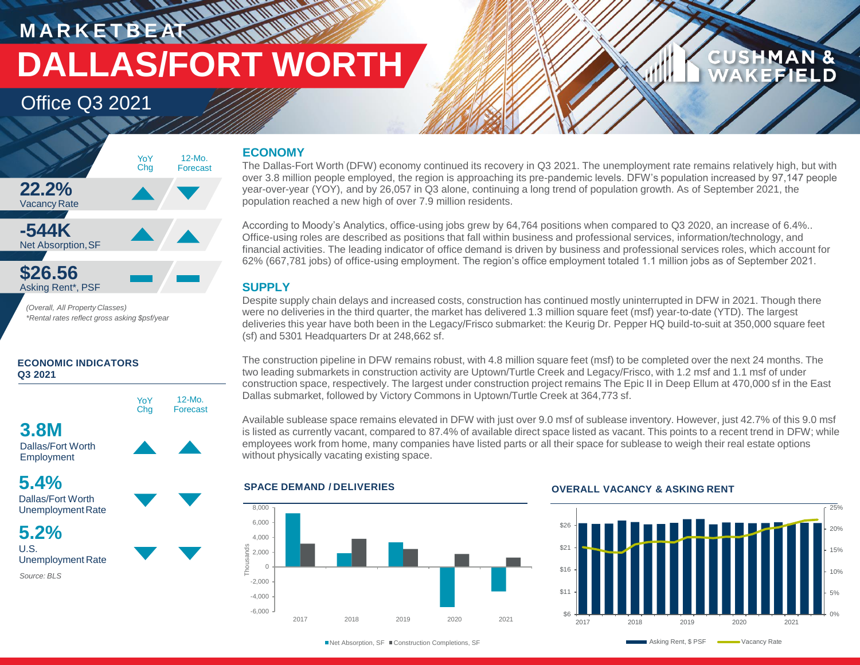## **MARKETBEATT DALLAS/FORT WORTH**

12-Mo. Forecast

## Office Q3 2021



*(Overall, All Property Classes) \*Rental rates reflect gross asking \$psf/year*

### **ECONOMIC INDICATORS Q3 2021**



Dallas/Fort Worth Employment



Dallas/Fort Worth UnemploymentRate

**5.2%** U.S. Unemployment Rate *Source: BLS*

### **ECONOMY**

**WATER** 

The Dallas-Fort Worth (DFW) economy continued its recovery in Q3 2021. The unemployment rate remains relatively high, but with over 3.8 million people employed, the region is approaching its pre-pandemic levels. DFW's population increased by 97,147 people year-over-year (YOY), and by 26,057 in Q3 alone, continuing a long trend of population growth. As of September 2021, the population reached a new high of over 7.9 million residents.

According to Moody's Analytics, office-using jobs grew by 64,764 positions when compared to Q3 2020, an increase of 6.4%.. Office-using roles are described as positions that fall within business and professional services, information/technology, and financial activities. The leading indicator of office demand is driven by business and professional services roles, which account for 62% (667,781 jobs) of office-using employment. The region's office employment totaled 1.1 million jobs as of September 2021.

### **SUPPLY**

Despite supply chain delays and increased costs, construction has continued mostly uninterrupted in DFW in 2021. Though there were no deliveries in the third quarter, the market has delivered 1.3 million square feet (msf) year-to-date (YTD). The largest deliveries this year have both been in the Legacy/Frisco submarket: the Keurig Dr. Pepper HQ build-to-suit at 350,000 square feet (sf) and 5301 Headquarters Dr at 248,662 sf.

The construction pipeline in DFW remains robust, with 4.8 million square feet (msf) to be completed over the next 24 months. The two leading submarkets in construction activity are Uptown/Turtle Creek and Legacy/Frisco, with 1.2 msf and 1.1 msf of under construction space, respectively. The largest under construction project remains The Epic II in Deep Ellum at 470,000 sf in the East Dallas submarket, followed by Victory Commons in Uptown/Turtle Creek at 364,773 sf.

Available sublease space remains elevated in DFW with just over 9.0 msf of sublease inventory. However, just 42.7% of this 9.0 msf is listed as currently vacant, compared to 87.4% of available direct space listed as vacant. This points to a recent trend in DFW; while employees work from home, many companies have listed parts or all their space for sublease to weigh their real estate options without physically vacating existing space.



### **SPACE DEMAND / DELIVERIES OVERALL VACANCY & ASKING RENT**



**CUSHMAN &** 

**EFIELD**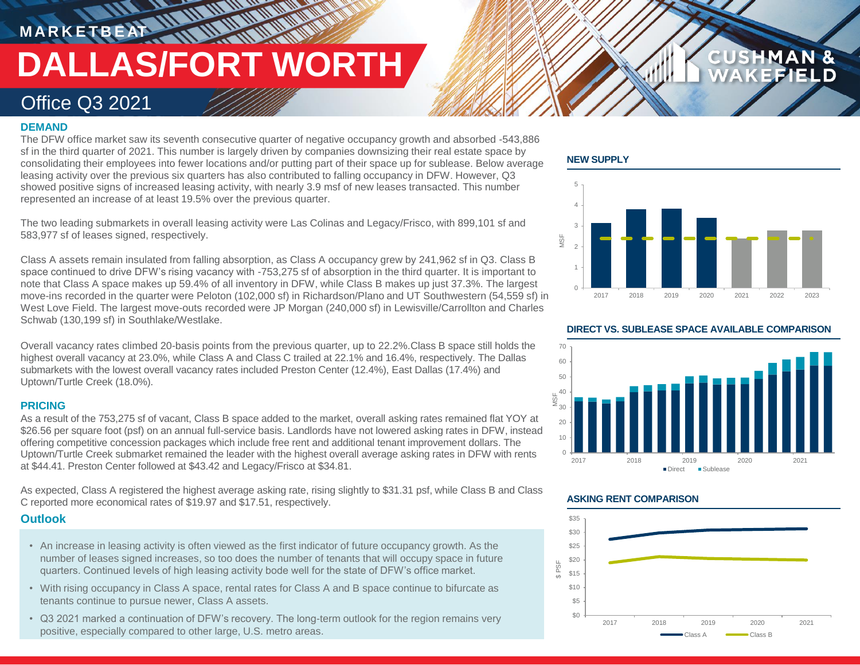# **M A R K E T B E AT DALLAS/FORT WORTH**

### Office Q3 2021

### **DEMAND**

The DFW office market saw its seventh consecutive quarter of negative occupancy growth and absorbed -543,886 sf in the third quarter of 2021. This number is largely driven by companies downsizing their real estate space by consolidating their employees into fewer locations and/or putting part of their space up for sublease. Below average leasing activity over the previous six quarters has also contributed to falling occupancy in DFW. However, Q3 showed positive signs of increased leasing activity, with nearly 3.9 msf of new leases transacted. This number represented an increase of at least 19.5% over the previous quarter.

The two leading submarkets in overall leasing activity were Las Colinas and Legacy/Frisco, with 899,101 sf and 583,977 sf of leases signed, respectively.

Class A assets remain insulated from falling absorption, as Class A occupancy grew by 241,962 sf in Q3. Class B space continued to drive DFW's rising vacancy with -753,275 sf of absorption in the third quarter. It is important to note that Class A space makes up 59.4% of all inventory in DFW, while Class B makes up just 37.3%. The largest move-ins recorded in the quarter were Peloton (102,000 sf) in Richardson/Plano and UT Southwestern (54,559 sf) in West Love Field. The largest move-outs recorded were JP Morgan (240,000 sf) in Lewisville/Carrollton and Charles Schwab (130,199 sf) in Southlake/Westlake.

Overall vacancy rates climbed 20-basis points from the previous quarter, up to 22.2%.Class B space still holds the highest overall vacancy at 23.0%, while Class A and Class C trailed at 22.1% and 16.4%, respectively. The Dallas submarkets with the lowest overall vacancy rates included Preston Center (12.4%), East Dallas (17.4%) and Uptown/Turtle Creek (18.0%).

### **PRICING**

As a result of the 753,275 sf of vacant, Class B space added to the market, overall asking rates remained flat YOY at \$26.56 per square foot (psf) on an annual full-service basis. Landlords have not lowered asking rates in DFW, instead offering competitive concession packages which include free rent and additional tenant improvement dollars. The Uptown/Turtle Creek submarket remained the leader with the highest overall average asking rates in DFW with rents at \$44.41. Preston Center followed at \$43.42 and Legacy/Frisco at \$34.81.

As expected, Class A registered the highest average asking rate, rising slightly to \$31.31 psf, while Class B and Class C reported more economical rates of \$19.97 and \$17.51, respectively.

### **Outlook**

- An increase in leasing activity is often viewed as the first indicator of future occupancy growth. As the number of leases signed increases, so too does the number of tenants that will occupy space in future quarters. Continued levels of high leasing activity bode well for the state of DFW's office market.
- With rising occupancy in Class A space, rental rates for Class A and B space continue to bifurcate as tenants continue to pursue newer, Class A assets.
- Q3 2021 marked a continuation of DFW's recovery. The long-term outlook for the region remains very positive, especially compared to other large, U.S. metro areas.

### **NEW SUPPLY**



**CUSHMAN &** 



### **ASKING RENT COMPARISON**



### **DIRECT VS. SUBLEASE SPACE AVAILABLE COMPARISON**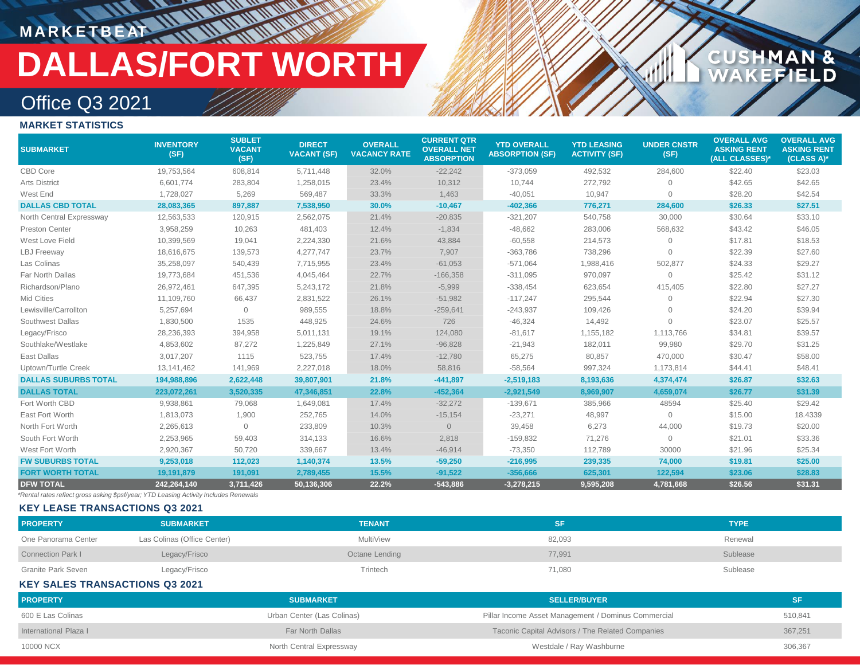# **MARKETBEAT ALL AND**

# **DALLAS/FORT WORTH**

## **CUSHMAN &<br>WAKEFIELD**

## Office Q3 2021

### **MARKET STATISTICS**

| <b>SUBMARKET</b>            | <b>INVENTORY</b><br>(SF) | <b>SUBLET</b><br><b>VACANT</b><br>(SF) | <b>DIRECT</b><br><b>VACANT (SF)</b> | <b>OVERALL</b><br><b>VACANCY RATE</b> | <b>CURRENT QTR</b><br><b>OVERALL NET</b><br><b>ABSORPTION</b> | <b>YTD OVERALL</b><br><b>ABSORPTION (SF)</b> | <b>YTD LEASING</b><br><b>ACTIVITY (SF)</b> | <b>UNDER CNSTR</b><br>(SF) | <b>OVERALL AVG</b><br><b>ASKING RENT</b><br>(ALL CLASSES)* | <b>OVERALL AVG</b><br><b>ASKING RENT</b><br>(CLASS A)* |
|-----------------------------|--------------------------|----------------------------------------|-------------------------------------|---------------------------------------|---------------------------------------------------------------|----------------------------------------------|--------------------------------------------|----------------------------|------------------------------------------------------------|--------------------------------------------------------|
| CBD Core                    | 19,753,564               | 608,814                                | 5,711,448                           | 32.0%                                 | $-22,242$                                                     | $-373,059$                                   | 492,532                                    | 284,600                    | \$22.40                                                    | \$23.03                                                |
| <b>Arts District</b>        | 6,601,774                | 283,804                                | 1,258,015                           | 23.4%                                 | 10,312                                                        | 10,744                                       | 272,792                                    | $\Omega$                   | \$42.65                                                    | \$42.65                                                |
| West End                    | 1,728,027                | 5,269                                  | 569,487                             | 33.3%                                 | 1,463                                                         | $-40,051$                                    | 10,947                                     | $\Omega$                   | \$28.20                                                    | \$42.54                                                |
| <b>DALLAS CBD TOTAL</b>     | 28,083,365               | 897,887                                | 7,538,950                           | 30.0%                                 | $-10,467$                                                     | $-402,366$                                   | 776,271                                    | 284,600                    | \$26.33                                                    | \$27.51                                                |
| North Central Expressway    | 12,563,533               | 120,915                                | 2,562,075                           | 21.4%                                 | $-20,835$                                                     | $-321,207$                                   | 540,758                                    | 30,000                     | \$30.64                                                    | \$33.10                                                |
| Preston Center              | 3,958,259                | 10,263                                 | 481,403                             | 12.4%                                 | $-1,834$                                                      | $-48,662$                                    | 283,006                                    | 568,632                    | \$43.42                                                    | \$46.05                                                |
| West Love Field             | 10,399,569               | 19,041                                 | 2,224,330                           | 21.6%                                 | 43,884                                                        | $-60,558$                                    | 214,573                                    | $\Omega$                   | \$17.81                                                    | \$18.53                                                |
| <b>LBJ</b> Freeway          | 18,616,675               | 139,573                                | 4,277,747                           | 23.7%                                 | 7,907                                                         | $-363,786$                                   | 738,296                                    | $\Omega$                   | \$22.39                                                    | \$27.60                                                |
| Las Colinas                 | 35,258,097               | 540,439                                | 7,715,955                           | 23.4%                                 | $-61,053$                                                     | $-571,064$                                   | 1,988,416                                  | 502,877                    | \$24.33                                                    | \$29.27                                                |
| Far North Dallas            | 19,773,684               | 451,536                                | 4,045,464                           | 22.7%                                 | $-166,358$                                                    | $-311,095$                                   | 970,097                                    | $\Omega$                   | \$25.42                                                    | \$31.12                                                |
| Richardson/Plano            | 26,972,461               | 647,395                                | 5,243,172                           | 21.8%                                 | $-5,999$                                                      | $-338,454$                                   | 623,654                                    | 415,405                    | \$22.80                                                    | \$27.27                                                |
| Mid Cities                  | 11,109,760               | 66,437                                 | 2,831,522                           | 26.1%                                 | $-51,982$                                                     | $-117,247$                                   | 295,544                                    | $\Omega$                   | \$22.94                                                    | \$27.30                                                |
| Lewisville/Carrollton       | 5,257,694                | 0                                      | 989,555                             | 18.8%                                 | $-259,641$                                                    | $-243,937$                                   | 109,426                                    | $\Omega$                   | \$24.20                                                    | \$39.94                                                |
| Southwest Dallas            | 1,830,500                | 1535                                   | 448,925                             | 24.6%                                 | 726                                                           | $-46,324$                                    | 14,492                                     | $\Omega$                   | \$23.07                                                    | \$25.57                                                |
| Legacy/Frisco               | 28,236,393               | 394,958                                | 5,011,131                           | 19.1%                                 | 124,080                                                       | $-81,617$                                    | 1,155,182                                  | 1,113,766                  | \$34.81                                                    | \$39.57                                                |
| Southlake/Westlake          | 4,853,602                | 87,272                                 | 1,225,849                           | 27.1%                                 | $-96,828$                                                     | $-21,943$                                    | 182,011                                    | 99,980                     | \$29.70                                                    | \$31.25                                                |
| East Dallas                 | 3,017,207                | 1115                                   | 523,755                             | 17.4%                                 | $-12,780$                                                     | 65,275                                       | 80,857                                     | 470,000                    | \$30.47                                                    | \$58.00                                                |
| Uptown/Turtle Creek         | 13,141,462               | 141,969                                | 2,227,018                           | 18.0%                                 | 58,816                                                        | $-58,564$                                    | 997,324                                    | 1,173,814                  | \$44.41                                                    | \$48.41                                                |
| <b>DALLAS SUBURBS TOTAL</b> | 194,988,896              | 2,622,448                              | 39,807,901                          | 21.8%                                 | $-441,897$                                                    | $-2,519,183$                                 | 8,193,636                                  | 4,374,474                  | \$26.87                                                    | \$32.63                                                |
| <b>DALLAS TOTAL</b>         | 223,072,261              | 3,520,335                              | 47,346,851                          | 22.8%                                 | $-452,364$                                                    | $-2,921,549$                                 | 8,969,907                                  | 4,659,074                  | \$26.77                                                    | \$31.39                                                |
| Fort Worth CBD              | 9,938,861                | 79,068                                 | 1,649,081                           | 17.4%                                 | $-32,272$                                                     | $-139,671$                                   | 385,966                                    | 48594                      | \$25.40                                                    | \$29.42                                                |
| East Fort Worth             | 1,813,073                | 1,900                                  | 252,765                             | 14.0%                                 | $-15,154$                                                     | $-23,271$                                    | 48,997                                     | $\overline{0}$             | \$15.00                                                    | 18.4339                                                |
| North Fort Worth            | 2,265,613                | 0                                      | 233,809                             | 10.3%                                 | $\overline{0}$                                                | 39,458                                       | 6,273                                      | 44,000                     | \$19.73                                                    | \$20.00                                                |
| South Fort Worth            | 2,253,965                | 59,403                                 | 314,133                             | 16.6%                                 | 2,818                                                         | $-159,832$                                   | 71,276                                     | $\overline{0}$             | \$21.01                                                    | \$33.36                                                |
| West Fort Worth             | 2,920,367                | 50,720                                 | 339,667                             | 13.4%                                 | $-46,914$                                                     | $-73,350$                                    | 112,789                                    | 30000                      | \$21.96                                                    | \$25.34                                                |
| <b>FW SUBURBS TOTAL</b>     | 9,253,018                | 112,023                                | 1,140,374                           | 13.5%                                 | $-59,250$                                                     | $-216,995$                                   | 239,335                                    | 74,000                     | \$19.81                                                    | \$25.00                                                |
| <b>FORT WORTH TOTAL</b>     | 19,191,879               | 191,091                                | 2,789,455                           | 15.5%                                 | $-91,522$                                                     | $-356,666$                                   | 625,301                                    | 122,594                    | \$23.06                                                    | \$28.83                                                |
| <b>DFW TOTAL</b>            | 242.264.140              | 3,711,426                              | 50,136,306                          | 22.2%                                 | $-543,886$                                                    | $-3,278,215$                                 | 9,595,208                                  | 4,781,668                  | \$26.56                                                    | \$31.31                                                |

*\*Rental rates reflect gross asking \$psf/year; YTD Leasing Activity Includes Renewals*

### **KEY LEASE TRANSACTIONS Q3 2021**

| <b>PROPERTY</b>          | <b>SUBMARKET</b>            | <b>TENANT</b>  |        | <b>TYPE</b> |
|--------------------------|-----------------------------|----------------|--------|-------------|
| One Panorama Center      | Las Colinas (Office Center) | MultiView      | 82,093 | Renewal     |
| <b>Connection Park I</b> | Legacy/Frisco               | Octane Lending | 77,991 | Sublease    |
| Granite Park Seven       | Legacy/Frisco               | Trintech       | 71,080 | Sublease    |

### **KEY SALES TRANSACTIONS Q3 2021**

| <b>PROPERTY</b>       | <b>SUBMARKET</b>           | <b>SELLER/BUYER</b>                                 | <b>SF</b> |
|-----------------------|----------------------------|-----------------------------------------------------|-----------|
| 600 E Las Colinas     | Urban Center (Las Colinas) | Pillar Income Asset Management / Dominus Commercial | 510,841   |
| International Plaza I | Far North Dallas           | Taconic Capital Advisors / The Related Companies    | 367,251   |
| 10000 NCX             | North Central Expressway   | Westdale / Ray Washburne                            | 306,367   |